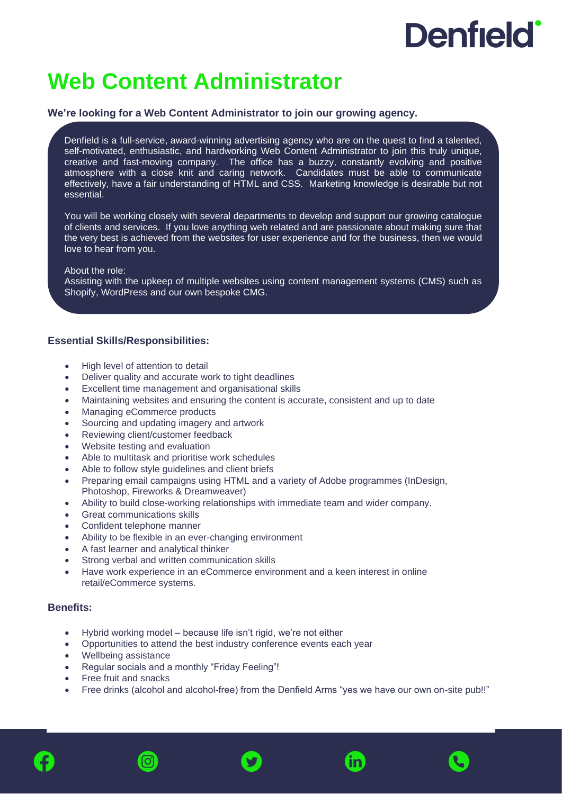# **Denfield**

# **Web Content Administrator**

## **We're looking for a Web Content Administrator to join our growing agency.**

Denfield is a full-service, award-winning advertising agency who are on the quest to find a talented, self-motivated, enthusiastic, and hardworking Web Content Administrator to join this truly unique, creative and fast-moving company. The office has a buzzy, constantly evolving and positive atmosphere with a close knit and caring network. Candidates must be able to communicate effectively, have a fair understanding of HTML and CSS. Marketing knowledge is desirable but not essential.

You will be working closely with several departments to develop and support our growing catalogue of clients and services. If you love anything web related and are passionate about making sure that the very best is achieved from the websites for user experience and for the business, then we would love to hear from you.

#### About the role:

Ĭ

Assisting with the upkeep of multiple websites using content management systems (CMS) such as Shopify, WordPress and our own bespoke CMG.

## **Essential Skills/Responsibilities:**

- High level of attention to detail
- Deliver quality and accurate work to tight deadlines
- Excellent time management and organisational skills
- Maintaining websites and ensuring the content is accurate, consistent and up to date
- Managing eCommerce products
- Sourcing and updating imagery and artwork
- Reviewing client/customer feedback
- Website testing and evaluation
- Able to multitask and prioritise work schedules
- Able to follow style guidelines and client briefs
- Preparing email campaigns using HTML and a variety of Adobe programmes (InDesign, Photoshop, Fireworks & Dreamweaver)
- Ability to build close-working relationships with immediate team and wider company.
- Great communications skills
- Confident telephone manner
- Ability to be flexible in an ever-changing environment
- A fast learner and analytical thinker
- Strong verbal and written communication skills
- Have work experience in an eCommerce environment and a keen interest in online retail/eCommerce systems.

### **Benefits:**

- Hybrid working model because life isn't rigid, we're not either
- Opportunities to attend the best industry conference events each year
- Wellbeing assistance
- Regular socials and a monthly "Friday Feeling"!
- Free fruit and snacks
- Free drinks (alcohol and alcohol-free) from the Denfield Arms "yes we have our own on-site pub!!"